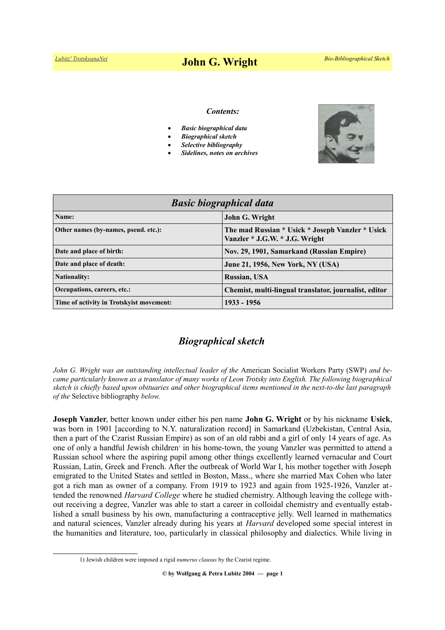# *[Lubitz' TrotskyanaNet](https://www.trotskyana.net/)* **John G. Wright** *Bio-Bibliographical Sketch*

#### *Contents:*

- *Basic biographical data*
- *Biographical sketch*
- *Selective bibliography*
- *Sidelines, notes on archives*



| <b>Basic biographical data</b>           |                                                                                    |
|------------------------------------------|------------------------------------------------------------------------------------|
| Name:                                    | John G. Wright                                                                     |
| Other names (by-names, pseud. etc.):     | The mad Russian * Usick * Joseph Vanzler * Usick<br>Vanzler * J.G.W. * J.G. Wright |
| Date and place of birth:                 | Nov. 29, 1901, Samarkand (Russian Empire)                                          |
| Date and place of death:                 | June 21, 1956, New York, NY (USA)                                                  |
| <b>Nationality:</b>                      | Russian, USA                                                                       |
| Occupations, careers, etc.:              | Chemist, multi-lingual translator, journalist, editor                              |
| Time of activity in Trotskyist movement: | 1933 - 1956                                                                        |

# *Biographical sketch*

*John G. Wright was an outstanding intellectual leader of the American Socialist Workers Party (SWP) and became particularly known as a translator of many works of Leon Trotsky into English. The following biographical sketch is chiefly based upon obituaries and other biographical items mentioned in the next-to-the last paragraph of the* Selective bibliography *below.*

**Joseph Vanzler**, better known under either his pen name **John G. Wright** or by his nickname **Usick**, was born in 1901 [according to N.Y. naturalization record] in Samarkand (Uzbekistan, Central Asia, then a part of the Czarist Russian Empire) as son of an old rabbi and a girl of only 14 years of age. As one of only a handful Jewish children<sup>[1](#page-0-0)</sup> in his home-town, the young Vanzler was permitted to attend a Russian school where the aspiring pupil among other things excellently learned vernacular and Court Russian, Latin, Greek and French. After the outbreak of World War I, his mother together with Joseph emigrated to the United States and settled in Boston, Mass., where she married Max Cohen who later got a rich man as owner of a company. From 1919 to 1923 and again from 1925-1926, Vanzler attended the renowned *Harvard College* where he studied chemistry. Although leaving the college without receiving a degree, Vanzler was able to start a career in colloidal chemistry and eventually established a small business by his own, manufacturing a contraceptive jelly. Well learned in mathematics and natural sciences, Vanzler already during his years at *Harvard* developed some special interest in the humanities and literature, too, particularly in classical philosophy and dialectics. While living in

<span id="page-0-0"></span><sup>1)</sup> Jewish children were imposed a rigid *numerus clausus* by the Czarist regime.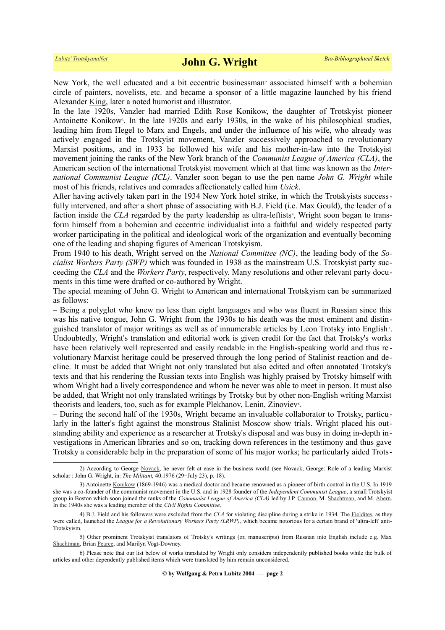NewYork, the well educated and a bit eccentric businessman<sup>2</sup> associated himself with a bohemian circle of painters, novelists, etc. and became a sponsor of a little magazine launched by his friend Alexander [King,](https://en.wikipedia.org/wiki/Alexander_King_(author)) later a noted humorist and illustrator.

In the late 1920s, Vanzler had married Edith Rose Konikow, the daughter of Trotskyist pioneer Antoinette Konikow<sup>[3](#page-1-1)</sup>. In the late 1920s and early 1930s, in the wake of his philosophical studies, leading him from Hegel to Marx and Engels, and under the influence of his wife, who already was actively engaged in the Trotskyist movement, Vanzler successively approached to revolutionary Marxist positions, and in 1933 he followed his wife and his mother-in-law into the Trotskyist movement joining the ranks of the New York branch of the *Communist League of America (CLA)*, the American section of the international Trotskyist movement which at that time was known as the *International Communist League (ICL)*. Vanzler soon began to use the pen name *John G. Wright* while most of his friends, relatives and comrades affectionately called him *Usick*.

After having actively taken part in the 1934 New York hotel strike, in which the Trotskyists successfully intervened, and after a short phase of associating with B.J. Field (i.e. Max Gould), the leader of a faction inside the CLA regarded by the party leadership as ultra-leftists<sup>[4](#page-1-2)</sup>, Wright soon began to transform himself from a bohemian and eccentric individualist into a faithful and widely respected party worker participating in the political and ideological work of the organization and eventually becoming one of the leading and shaping figures of American Trotskyism.

From 1940 to his death, Wright served on the *National Committee (NC)*, the leading body of the *Socialist Workers Party (SWP)* which was founded in 1938 as the mainstream U.S. Trotskyist party succeeding the *CLA* and the *Workers Party*, respectively. Many resolutions and other relevant party documents in this time were drafted or co-authored by Wright.

The special meaning of John G. Wright to American and international Trotskyism can be summarized as follows:

– Being a polyglot who knew no less than eight languages and who was fluent in Russian since this was his native tongue, John G. Wright from the 1930s to his death was the most eminent and distin-guished translator of major writings as well as of innumerable articles by Leon Trotsky into English<sup>[5](#page-1-3)</sup>. Undoubtedly, Wright's translation and editorial work is given credit for the fact that Trotsky's works have been relatively well represented and easily readable in the English-speaking world and thus re volutionary Marxist heritage could be preserved through the long period of Stalinist reaction and decline. It must be added that Wright not only translated but also edited and often annotated Trotsky's texts and that his rendering the Russian texts into English was highly praised by Trotsky himself with whom Wright had a lively correspondence and whom he never was able to meet in person. It must also be added, that Wright not only translated writings by Trotsky but by other non-English writing Marxist theorists and leaders, too, such as for example Plekhanov, Lenin, Zinoviev<sup>[6](#page-1-4)</sup>.

– During the second half of the 1930s, Wright became an invaluable collaborator to Trotsky, particularly in the latter's fight against the monstrous Stalinist Moscow show trials. Wright placed his outstanding ability and experience as a researcher at Trotsky's disposal and was busy in doing in-depth investigations in American libraries and so on, tracking down references in the testimony and thus gave Trotsky a considerable help in the preparation of some of his major works; he particularly aided Trots-

<span id="page-1-0"></span><sup>2)</sup> According to George [Novack,](https://www.trotskyana.net/Trotskyists/Bio-Bibliographies/bio-bibl_novack.pdf) he never felt at ease in the business world (see Novack, George: Role of a leading Marxist scholar : John G. Wright, in: *The Militant,* 40.1976 (29=July 23), p. 18).

<span id="page-1-1"></span><sup>3)</sup> Antoinette [Konikow](https://en.wikipedia.org/wiki/Antoinette_Konikow) (1869-1946) was a medical doctor and became renowned as a pioneer of birth control in the U.S. In 1919 she was a co-founder of the communist movement in the U.S. and in 1928 founder of the *Independent Communist League*, a small Trotskyist group in Boston which soon joined the ranks of the *Communist League of America (CLA)* led by J.P. [Cannon,](https://www.trotskyana.net/Trotskyists/Bio-Bibliographies/bio-bibl_cannon.pdf) M. [Shachtman,](https://www.trotskyana.net/Trotskyists/Bio-Bibliographies/bio-bibl_shachtman.pdf) and M. [Abern.](https://www.trotskyana.net/Trotskyists/Bio-Bibliographies/bio-bibl_abern.pdf) In the 1940s she was a leading member of the *Civil Rights Committee*.

<span id="page-1-2"></span><sup>4)</sup> B.J. Field and his followers were excluded from the *CLA* for violating discipline during a strike in 1934. The [Fieldites,](https://en.wikipedia.org/wiki/Fieldites) as they were called, launched the *League for a Revolutionary Workers Party (LRWP)*, which became notorious for a certain brand of 'ultra-left' anti-Trotskyism.

<span id="page-1-3"></span><sup>5)</sup> Other prominent Trotskyist translators of Trotsky's writings (or, manuscripts) from Russian into English include e.g. Max [Shachtman,](https://www.trotskyana.net/Trotskyists/Bio-Bibliographies/bio-bibl_shachtman.pdf) Brian [Pearce,](https://en.wikipedia.org/wiki/Brian_Pearce) and Marilyn Vogt-Downey.

<span id="page-1-4"></span><sup>6)</sup> Please note that our list below of works translated by Wright only considers independently published books while the bulk of articles and other dependently published items which were translated by him remain unconsidered.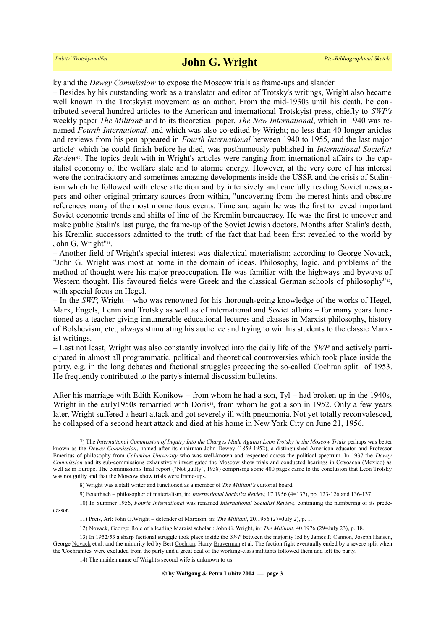ky and the *Dewey Commission*[7](#page-2-0) to expose the Moscow trials as frame-ups and slander.

– Besides by his outstanding work as a translator and editor of Trotsky's writings, Wright also became well known in the Trotskyist movement as an author. From the mid-1930s until his death, he contributed several hundred articles to the American and international Trotskyist press, chiefly to *SWP's* weeklypaper *The Militant*<sup>8</sup> and to its theoretical paper, *The New International*, which in 1940 was renamed *Fourth International,* and which was also co-edited by Wright; no less than 40 longer articles and reviews from his pen appeared in *Fourth International* between 1940 to 1955, and the last major article<sup>9</sup>which he could finish before he died, was posthumously published in *International Socialist Review*<sup>[10](#page-2-3)</sup>. The topics dealt with in Wright's articles were ranging from international affairs to the capitalist economy of the welfare state and to atomic energy. However, at the very core of his interest were the contradictory and sometimes amazing developments inside the USSR and the crisis of Stalinism which he followed with close attention and by intensively and carefully reading Soviet newspapers and other original primary sources from within, "uncovering from the merest hints and obscure references many of the most momentous events. Time and again he was the first to reveal important Soviet economic trends and shifts of line of the Kremlin bureaucracy. He was the first to uncover and make public Stalin's last purge, the frame-up of the Soviet Jewish doctors. Months after Stalin's death, his Kremlin successors admitted to the truth of the fact that had been first revealed to the world by John G. Wright"<sup>[11](#page-2-4)</sup>.

– Another field of Wright's special interest was dialectical materialism; according to George Novack, "John G. Wright was most at home in the domain of ideas. Philosophy, logic, and problems of the method of thought were his major preoccupation. He was familiar with the highways and byways of Western thought. His favoured fields were Greek and the classical German schools of philosophy"<sup>[12](#page-2-5)</sup>, with special focus on Hegel.

– In the *SWP*, Wright – who was renowned for his thorough-going knowledge of the works of Hegel, Marx, Engels, Lenin and Trotsky as well as of international and Soviet affairs – for many years func tioned as a teacher giving innumerable educational lectures and classes in Marxist philosophy, history of Bolshevism, etc., always stimulating his audience and trying to win his students to the classic Marxist writings.

– Last not least, Wright was also constantly involved into the daily life of the *SWP* and actively participated in almost all programmatic, political and theoretical controversies which took place inside the party, e.g. in the long debates and factional struggles preceding the so-called [Cochran](https://www.trotskyana.net/Trotskyists/Bio-Bibliographies/bio-bibl_cochran.pdf) split<sup>[13](#page-2-6)</sup> of 1953. He frequently contributed to the party's internal discussion bulletins.

After his marriage with Edith Konikow – from whom he had a son, Tyl – had broken up in the 1940s, Wright in the early1950s remarried with Doris<sup>[14](#page-2-7)</sup>, from whom he got a son in 1952. Only a few years later, Wright suffered a heart attack and got severely ill with pneumonia. Not yet totally reconvalesced, he collapsed of a second heart attack and died at his home in New York City on June 21, 1956.

<span id="page-2-0"></span><sup>7)</sup> The *International Commission of Inquiry Into the Charges Made Against Leon Trotsky in the Moscow Trials* perhaps was better known as the *[Dewey Commission](https://en.wikipedia.org/wiki/Dewey_Commission)*, named after its chairman John [Dewey](https://en.wikipedia.org/wiki/John_Dewey) (1859-1952), a distinguished American educator and Professor Emeritus of philosophy from *Columbia University* who was well-known and respected across the political spectrum. In 1937 the *Dewey Commission* and its sub-commissions exhaustively investigated the Moscow show trials and conducted hearings in Coyoacán (Mexico) as well as in Europe. The commission's final report ("Not guilty", 1938) comprising some 400 pages came to the conclusion that Leon Trotsky was not guilty and that the Moscow show trials were frame-ups.

<span id="page-2-1"></span><sup>8)</sup> Wright was a staff writer and functioned as a member of *The Militant's* editorial board.

<span id="page-2-3"></span><span id="page-2-2"></span><sup>9)</sup> Feuerbach – philosopher of materialism, in: *International Socialist Review*, 17.1956 (4=137), pp. 123-126 and 136-137.

<sup>10)</sup> In Summer 1956, *Fourth International* was renamed *International Socialist Review*, continuing the numbering of its predecessor.

<span id="page-2-4"></span><sup>11)</sup> Preis, Art: John G.Wright – defender of Marxism, in: *The Militant*, 20.1956 (27=July 2), p. 1.

<span id="page-2-6"></span><span id="page-2-5"></span><sup>12)</sup> Novack, George: Role of a leading Marxist scholar : John G. Wright, in: *The Militant,* 40.1976 (29=July 23), p. 18.

<sup>13)</sup> In 1952/53 a sharp factional struggle took place inside the *SWP* between the majority led by James P. [Cannon,](https://www.trotskyana.net/Trotskyists/Bio-Bibliographies/bio-bibl_cannon.pdf) Joseph [Hansen,](https://www.trotskyana.net/Trotskyists/Bio-Bibliographies/bio-bibl_hansen_j.pdf) George [Novack](https://www.trotskyana.net/Trotskyists/Bio-Bibliographies/bio-bibl_novack.pdf) et al. and the minority led by Bert [Cochran,](https://www.trotskyana.net/Trotskyists/Bio-Bibliographies/bio-bibl_cochran.pdf) Harry [Braverman](https://de.wikipedia.org/wiki/Harry_Braverman) et al. The faction fight eventually ended by a severe split when the 'Cochranites' were excluded from the party and a great deal of the working-class militants followed them and left the party.

<span id="page-2-7"></span><sup>14)</sup> The maiden name of Wright's second wife is unknown to us.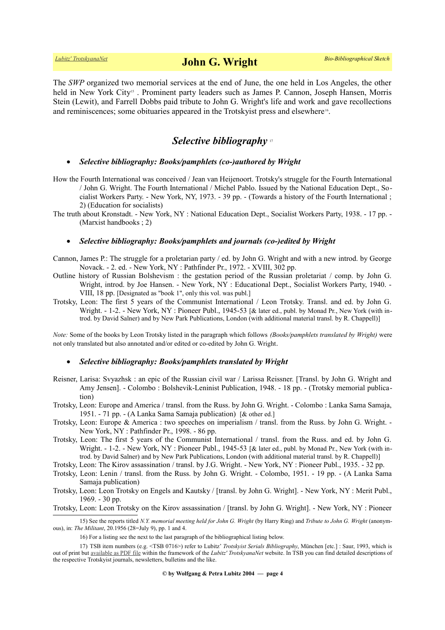# *[Lubitz' TrotskyanaNet](https://www.trotskyana.net/)* **John G. Wright** *Bio-Bibliographical Sketch*

The *SWP* organized two memorial services at the end of June, the one held in Los Angeles, the other held in New York City<sup>[15](#page-3-0)</sup>. Prominent party leaders such as James P. Cannon, Joseph Hansen, Morris Stein (Lewit), and Farrell Dobbs paid tribute to John G. Wright's life and work and gave recollections and reminiscences; some obituaries appeared in the Trotskyist press and elsewhere<sup>[16](#page-3-1)</sup>.

## *Selective bibliography* [17](#page-3-2)

### *Selective bibliography: Books/pamphlets (co-)authored by Wright*

- How the Fourth International was conceived / Jean van Heijenoort. Trotsky's struggle for the Fourth International / John G. Wright. The Fourth International / Michel Pablo. Issued by the National Education Dept., Socialist Workers Party. - New York, NY, 1973. - 39 pp. - (Towards a history of the Fourth International ; 2) (Education for socialists)
- The truth about Kronstadt. New York, NY : National Education Dept., Socialist Workers Party, 1938. 17 pp. (Marxist handbooks ; 2)

### *Selective bibliography: Books/pamphlets and journals (co-)edited by Wright*

- Cannon, James P.: The struggle for a proletarian party / ed. by John G. Wright and with a new introd. by George Novack. - 2. ed. - New York, NY : Pathfinder Pr., 1972. - XVIII, 302 pp.
- Outline history of Russian Bolshevism : the gestation period of the Russian proletariat / comp. by John G. Wright, introd. by Joe Hansen. - New York, NY : Educational Dept., Socialist Workers Party, 1940. - VIII, 18 pp. [Designated as "book 1", only this vol. was publ.]
- Trotsky, Leon: The first 5 years of the Communist International / Leon Trotsky. Transl. and ed. by John G. Wright. - 1-2. - New York, NY : Pioneer Publ., 1945-53 [& later ed., publ. by Monad Pr., New York (with introd. by David Salner) and by New Park Publications, London (with additional material transl. by R. Chappell)]

*Note:* Some of the books by Leon Trotsky listed in the paragraph which follows *(Books/pamphlets translated by Wright)* were not only translated but also annotated and/or edited or co-edited by John G. Wright.

#### *Selective bibliography: Books/pamphlets translated by Wright*

- Reisner, Larisa: Svyazhsk : an epic of the Russian civil war / Larissa Reissner. [Transl. by John G. Wright and Amy Jensen]. - Colombo : Bolshevik-Leninist Publication, 1948. - 18 pp. - (Trotsky memorial publication)
- Trotsky, Leon: Europe and America / transl. from the Russ. by John G. Wright. Colombo : Lanka Sama Samaja, 1951. - 71 pp. - (A Lanka Sama Samaja publication) [& other ed.]
- Trotsky, Leon: Europe & America : two speeches on imperialism / transl. from the Russ. by John G. Wright. New York, NY : Pathfinder Pr., 1998. - 86 pp.
- Trotsky, Leon: The first 5 years of the Communist International / transl. from the Russ. and ed. by John G. Wright. - 1-2. - New York, NY : Pioneer Publ., 1945-53 [& later ed., publ. by Monad Pr., New York (with introd. by David Salner) and by New Park Publications, London (with additional material transl. by R. Chappell)]
- Trotsky, Leon: The Kirov assassination / transl. by J.G. Wright. New York, NY : Pioneer Publ., 1935. 32 pp.
- Trotsky, Leon: Lenin / transl. from the Russ. by John G. Wright. Colombo, 1951. 19 pp. (A Lanka Sama Samaja publication)
- Trotsky, Leon: Leon Trotsky on Engels and Kautsky / [transl. by John G. Wright]. New York, NY : Merit Publ., 1969. - 30 pp.

Trotsky, Leon: Leon Trotsky on the Kirov assassination / [transl. by John G. Wright]. - New York, NY : Pioneer

**© by Wolfgang & Petra Lubitz 2004 — page 4**

<sup>15)</sup> See the reports titled *N.Y. memorial meeting held for John G. Wright* (by Harry Ring) and *Tribute to John G. Wright* (anonymous), in: *The Militant*, 20.1956 (28=July 9), pp. 1 and 4.

<span id="page-3-2"></span><span id="page-3-1"></span><span id="page-3-0"></span><sup>16)</sup> For a listing see the next to the last paragraph of the bibliographical listing below.

<sup>17)</sup> TSB item numbers (e.g. <TSB 0716>) refer to Lubitz' *Trotskyist Serials Bibliography*, München [etc.] : Saur, 1993, which is out of print but [available as PDF file](https://www.trotskyana.net/LubitzBibliographies/Serials_Bibliography/serials_bibliography.htm#PDF) within the framework of the *Lubitz' TrotskyanaNet* website. In TSB you can find detailed descriptions of the respective Trotskyist journals, newsletters, bulletins and the like.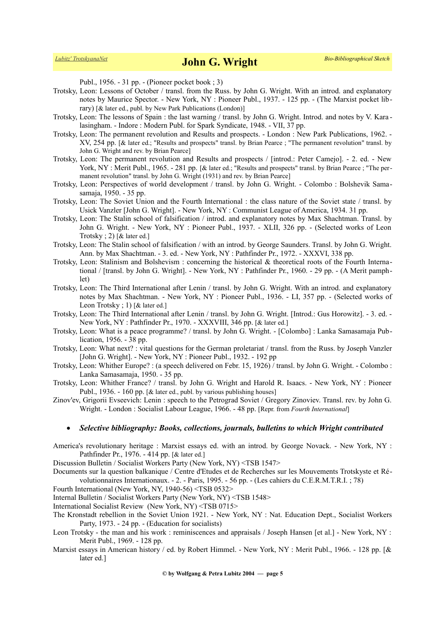Publ., 1956. - 31 pp. - (Pioneer pocket book ; 3)

- Trotsky, Leon: Lessons of October / transl. from the Russ. by John G. Wright. With an introd. and explanatory notes by Maurice Spector. - New York, NY : Pioneer Publ., 1937. - 125 pp. - (The Marxist pocket library) [& later ed., publ. by New Park Publications (London)]
- Trotsky, Leon: The lessons of Spain : the last warning / transl. by John G. Wright. Introd. and notes by V. Kara lasingham. - Indore : Modern Publ. for Spark Syndicate, 1948. - VII, 37 pp.
- Trotsky, Leon: The permanent revolution and Results and prospects. London : New Park Publications, 1962. XV, 254 pp. [& later ed.; "Results and prospects" transl. by Brian Pearce ; "The permanent revolution" transl. by John G. Wright and rev. by Brian Pearce]
- Trotsky, Leon: The permanent revolution and Results and prospects / [introd.: Peter Camejo]. 2. ed. New York, NY : Merit Publ., 1965. - 281 pp. [& later ed.; "Results and prospects" transl. by Brian Pearce ; "The permanent revolution" transl. by John G. Wright (1931) and rev. by Brian Pearce]
- Trotsky, Leon: Perspectives of world development / transl. by John G. Wright. Colombo : Bolshevik Samasamaja, 1950. - 35 pp.
- Trotsky, Leon: The Soviet Union and the Fourth International : the class nature of the Soviet state / transl. by Usick Vanzler [John G. Wright]. - New York, NY : Communist League of America, 1934. 31 pp.
- Trotsky, Leon: The Stalin school of falsification / introd. and explanatory notes by Max Shachtman. Transl. by John G. Wright. - New York, NY : Pioneer Publ., 1937. - XLII, 326 pp. - (Selected works of Leon Trotsky ; 2) [& later ed.]
- Trotsky, Leon: The Stalin school of falsification / with an introd. by George Saunders. Transl. by John G. Wright. Ann. by Max Shachtman. - 3. ed. - New York, NY : Pathfinder Pr., 1972. - XXXVI, 338 pp.
- Trotsky, Leon: Stalinism and Bolshevism : concerning the historical & theoretical roots of the Fourth International / [transl. by John G. Wright]. - New York, NY : Pathfinder Pr., 1960. - 29 pp. - (A Merit pamphlet)
- Trotsky, Leon: The Third International after Lenin / transl. by John G. Wright. With an introd. and explanatory notes by Max Shachtman. - New York, NY : Pioneer Publ., 1936. - LI, 357 pp. - (Selected works of Leon Trotsky; 1) [& later ed.]
- Trotsky, Leon: The Third International after Lenin / transl. by John G. Wright. [Introd.: Gus Horowitz]. 3. ed. New York, NY : Pathfinder Pr., 1970. - XXXVIII, 346 pp. [& later ed.]
- Trotsky, Leon: What is a peace programme? / transl. by John G. Wright. [Colombo] : Lanka Samasamaja Publication, 1956. - 38 pp.
- Trotsky, Leon: What next? : vital questions for the German proletariat / transl. from the Russ. by Joseph Vanzler [John G. Wright]. - New York, NY : Pioneer Publ., 1932. - 192 pp
- Trotsky, Leon: Whither Europe? : (a speech delivered on Febr. 15, 1926) / transl. by John G. Wright. Colombo : Lanka Samasamaja, 1950. - 35 pp.
- Trotsky, Leon: Whither France? / transl. by John G. Wright and Harold R. Isaacs. New York, NY : Pioneer Publ., 1936. - 160 pp. [& later ed., publ. by various publishing houses]
- Zinov'ev, Grigorii Evseevich: Lenin : speech to the Petrograd Soviet / Gregory Zinoviev. Transl. rev. by John G. Wright. - London : Socialist Labour League, 1966. - 48 pp. [Repr. from *Fourth International*]

#### *Selective bibliography: Books, collections, journals, bulletins to which Wright contributed*

America's revolutionary heritage : Marxist essays ed. with an introd. by George Novack. - New York, NY : Pathfinder Pr., 1976. - 414 pp. [& later ed.]

Discussion Bulletin / Socialist Workers Party (New York, NY) <TSB 1547>

- Documents sur la question balkanique / Centre d'Etudes et de Recherches sur les Mouvements Trotskyste et Révolutionnaires Internationaux. - 2. - Paris, 1995. - 56 pp. - (Les cahiers du C.E.R.M.T.R.I. ; 78)
- Fourth International (New York, NY, 1940-56) <TSB 0532>

Internal Bulletin / Socialist Workers Party (New York, NY) <TSB 1548>

International Socialist Review (New York, NY) <TSB 0715>

- The Kronstadt rebellion in the Soviet Union 1921. New York, NY : Nat. Education Dept., Socialist Workers Party, 1973. - 24 pp. - (Education for socialists)
- Leon Trotsky the man and his work : reminiscences and appraisals / Joseph Hansen [et al.] New York, NY : Merit Publ., 1969. - 128 pp.
- Marxist essays in American history / ed. by Robert Himmel. New York, NY : Merit Publ., 1966. 128 pp. [& later ed.]

**© by Wolfgang & Petra Lubitz 2004 — page 5**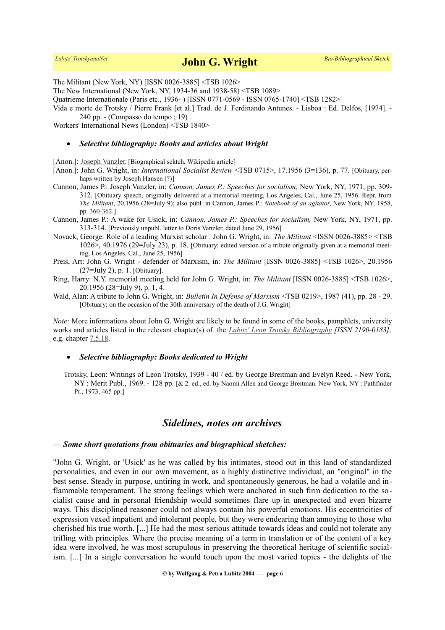The Militant (New York, NY) [ISSN 0026-3885] <TSB 1026>

The New International (New York, NY, 1934-36 and 1938-58) <TSB 1089>

Quatrième Internationale (Paris etc., 1936- ) [ISSN 0771-0569 - ISSN 0765-1740] <TSB 1282>

Vida e morte de Trotsky / Pierre Frank [et al.] Trad. de J. Ferdinando Antunes. - Lisboa : Ed. Delfos, [1974]. - 240 pp. - (Compasso do tempo ; 19)

Workers' International News (London) <TSB 1840>

#### *Selective bibliography: Books and articles about Wright*

[Anon.]: [Joseph Vanzler](https://en.wikipedia.org/wiki/Joseph_Vanzler). [Biographical sektch, Wikipedia article]

[Anon.]: John G. Wright, in: *International Socialist Review* <TSB 0715>, 17.1956 (3=136), p. 77. [Obituary, perhaps written by Joseph Hansen (?)]

- Cannon, James P.: Joseph Vanzler, in: *Cannon, James P.: Speeches for socialism,* New York, NY, 1971, pp. 309- 312. [Obituary speech, originally delivered at a memorial meeting, Los Angeles, Cal., June 25, 1956. Repr. from *The Militant*, 20.1956 (28=July 9); also publ. in Cannon, James P.: *Notebook of an agitator*, New York, NY, 1958, pp. 360-362.]
- Cannon, James P.: A wake for Usick, in: *Cannon, James P.: Speeches for socialism,* New York, NY, 1971, pp. 313-314. [Previously unpubl. letter to Doris Vanzler, dated June 29, 1956]
- Novack, George: Role of a leading Marxist scholar : John G. Wright, in: *The Militant* <ISSN 0026-3885> <TSB 1026>, 40.1976 (29=July 23), p. 18. [Obituary; edited version of a tribute originally given at a memorial meeting, Los Angeles, Cal., June 25, 1956]
- Preis, Art: John G. Wright defender of Marxism, in: *The Militant* [ISSN 0026-3885] <TSB 1026>, 20.1956 (27=July 2), p. 1. [Obituary].
- Ring, Harry: N.Y. memorial meeting held for John G. Wright, in: *The Militant* [ISSN 0026-3885] <TSB 1026>, 20.1956 (28=July 9), p. 1, 4.
- Wald, Alan: A tribute to John G. Wright, in: *Bulletin In Defense of Marxism* <TSB 0219>, 1987 (41), pp. 28 29. [Obituary; on the occasion of the 30th anniversary of the death of J.G. Wright]

*Note:* More informations about John G. Wright are likely to be found in some of the books, pamphlets, university works and articles listed in the relevant chapter(s) of the *[Lubitz' Leon Trotsky Bibliography](https://www.trotskyana.net/LubitzBibliographies/Trotsky_Bibliography/Leon_Trotsky_Bibliography.html) [ISSN 2190-0183],* e.g. chapter  $7.5.18$ .

#### *Selective bibliography: Books dedicated to Wright*

Trotsky, Leon: Writings of Leon Trotsky, 1939 - 40 / ed. by George Breitman and Evelyn Reed. - New York, NY : Merit Publ., 1969. - 128 pp. [& 2. ed., ed. by Naomi Allen and George Breitman. New York, NY : Pathfinder Pr., 1973, 465 pp.]

## *Sidelines, notes on archives*

#### *— Some short quotations from obituaries and biographical sketches:*

"John G. Wright, or 'Usick' as he was called by his intimates, stood out in this land of standardized personalities, and even in our own movement, as a highly distinctive individual, an "original" in the best sense. Steady in purpose, untiring in work, and spontaneously generous, he had a volatile and inflammable temperament. The strong feelings which were anchored in such firm dedication to the socialist cause and in personal friendship would sometimes flare up in unexpected and even bizarre ways. This disciplined reasoner could not always contain his powerful emotions. His eccentricities of expression vexed impatient and intolerant people, but they were endearing than annoying to those who cherished his true worth. [...] He had the most serious attitude towards ideas and could not tolerate any trifling with principles. Where the precise meaning of a term in translation or of the content of a key idea were involved, he was most scrupulous in preserving the theoretical heritage of scientific socialism. [...] In a single conversation he would touch upon the most varied topics - the delights of the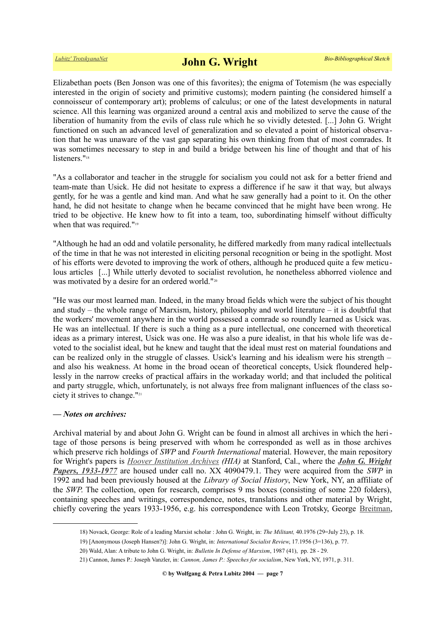Elizabethan poets (Ben Jonson was one of this favorites); the enigma of Totemism (he was especially interested in the origin of society and primitive customs); modern painting (he considered himself a connoisseur of contemporary art); problems of calculus; or one of the latest developments in natural science. All this learning was organized around a central axis and mobilized to serve the cause of the liberation of humanity from the evils of class rule which he so vividly detested. [...] John G. Wright functioned on such an advanced level of generalization and so elevated a point of historical observation that he was unaware of the vast gap separating his own thinking from that of most comrades. It was sometimes necessary to step in and build a bridge between his line of thought and that of his listeners."<sup>[18](#page-6-0)</sup>

"As a collaborator and teacher in the struggle for socialism you could not ask for a better friend and team-mate than Usick. He did not hesitate to express a difference if he saw it that way, but always gently, for he was a gentle and kind man. And what he saw generally had a point to it. On the other hand, he did not hesitate to change when he became convinced that he might have been wrong. He tried to be objective. He knew how to fit into a team, too, subordinating himself without difficulty when that was required."<sup>[19](#page-6-1)</sup>

"Although he had an odd and volatile personality, he differed markedly from many radical intellectuals of the time in that he was not interested in eliciting personal recognition or being in the spotlight. Most of his efforts were devoted to improving the work of others, although he produced quite a few meticulous articles [...] While utterly devoted to socialist revolution, he nonetheless abhorred violence and was motivated by a desire for an ordered world."<sup>[20](#page-6-2)</sup>

"He was our most learned man. Indeed, in the many broad fields which were the subject of his thought and study – the whole range of Marxism, history, philosophy and world literature – it is doubtful that the workers' movement anywhere in the world possessed a comrade so roundly learned as Usick was. He was an intellectual. If there is such a thing as a pure intellectual, one concerned with theoretical ideas as a primary interest, Usick was one. He was also a pure idealist, in that his whole life was devoted to the socialist ideal, but he knew and taught that the ideal must rest on material foundations and can be realized only in the struggle of classes. Usick's learning and his idealism were his strength – and also his weakness. At home in the broad ocean of theoretical concepts, Usick floundered helplessly in the narrow creeks of practical affairs in the workaday world; and that included the political and party struggle, which, unfortunately, is not always free from malignant influences of the class society it strives to change."[21](#page-6-3)

### *— Notes on archives:*

Archival material by and about John G. Wright can be found in almost all archives in which the heritage of those persons is being preserved with whom he corresponded as well as in those archives which preserve rich holdings of *SWP* and *Fourth International* material. However, the main repository for Wright's papers is *[Hoover Institution Archives](https://www.trotskyana.net/Research_facilities/PublicArchives_America/publicarchives_america.html#hoover) (HIA)* at Stanford, Cal., where the *[John G. Wright](http://www.oac.cdlib.org/findaid/ark:/13030/kt3p30133s) [Papers, 1933-1977](http://www.oac.cdlib.org/findaid/ark:/13030/kt3p30133s)* are housed under call no. XX 4090479.1. They were acquired from the *SWP* in 1992 and had been previously housed at the *Library of Social History*, New York, NY, an affiliate of the *SWP*. The collection, open for research, comprises 9 ms boxes (consisting of some 220 folders), containing speeches and writings, correspondence, notes, translations and other material by Wright, chiefly covering the years 1933-1956, e.g. his correspondence with Leon Trotsky, George [Breitman,](https://www.trotskyana.net/Trotskyists/Bio-Bibliographies/bio-bibl_breitman.pdf)

<span id="page-6-0"></span><sup>18)</sup> Novack, George: Role of a leading Marxist scholar : John G. Wright, in: *The Militant,* 40.1976 (29=July 23), p. 18.

<span id="page-6-1"></span><sup>19) [</sup>Anonymous (Joseph Hansen?)]: John G. Wright, in: *International Socialist Review*, 17.1956 (3=136), p. 77.

<span id="page-6-2"></span><sup>20)</sup> Wald, Alan: A tribute to John G. Wright, in: *Bulletin In Defense of Marxism*, 1987 (41), pp. 28 - 29.

<span id="page-6-3"></span><sup>21)</sup> Cannon, James P.: Joseph Vanzler, in: *Cannon, James P.: Speeches for socialism*, New York, NY, 1971, p. 311.